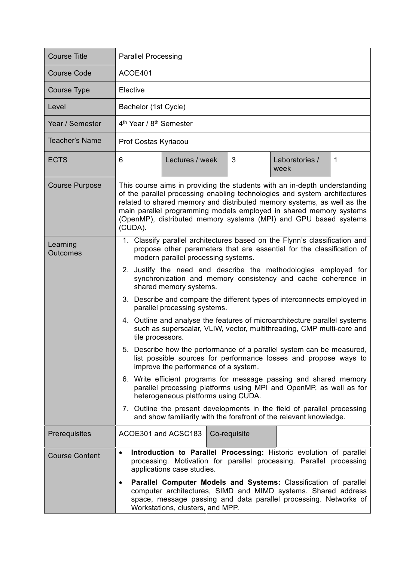| <b>Course Title</b>         | <b>Parallel Processing</b>                                                                                                                                                                                                                                                                                                                                                                                                                                                                                                                                                                                                                                                                                                                                                                                                                                                                                                                                                                                                                                                                                                                                             |
|-----------------------------|------------------------------------------------------------------------------------------------------------------------------------------------------------------------------------------------------------------------------------------------------------------------------------------------------------------------------------------------------------------------------------------------------------------------------------------------------------------------------------------------------------------------------------------------------------------------------------------------------------------------------------------------------------------------------------------------------------------------------------------------------------------------------------------------------------------------------------------------------------------------------------------------------------------------------------------------------------------------------------------------------------------------------------------------------------------------------------------------------------------------------------------------------------------------|
| <b>Course Code</b>          | ACOE401                                                                                                                                                                                                                                                                                                                                                                                                                                                                                                                                                                                                                                                                                                                                                                                                                                                                                                                                                                                                                                                                                                                                                                |
| <b>Course Type</b>          | Elective                                                                                                                                                                                                                                                                                                                                                                                                                                                                                                                                                                                                                                                                                                                                                                                                                                                                                                                                                                                                                                                                                                                                                               |
| Level                       | Bachelor (1st Cycle)                                                                                                                                                                                                                                                                                                                                                                                                                                                                                                                                                                                                                                                                                                                                                                                                                                                                                                                                                                                                                                                                                                                                                   |
| Year / Semester             | 4 <sup>th</sup> Year / 8 <sup>th</sup> Semester                                                                                                                                                                                                                                                                                                                                                                                                                                                                                                                                                                                                                                                                                                                                                                                                                                                                                                                                                                                                                                                                                                                        |
| Teacher's Name              | Prof Costas Kyriacou                                                                                                                                                                                                                                                                                                                                                                                                                                                                                                                                                                                                                                                                                                                                                                                                                                                                                                                                                                                                                                                                                                                                                   |
| <b>ECTS</b>                 | 3<br>6<br>Laboratories /<br>$\mathbf 1$<br>Lectures / week<br>week                                                                                                                                                                                                                                                                                                                                                                                                                                                                                                                                                                                                                                                                                                                                                                                                                                                                                                                                                                                                                                                                                                     |
| <b>Course Purpose</b>       | This course aims in providing the students with an in-depth understanding<br>of the parallel processing enabling technologies and system architectures<br>related to shared memory and distributed memory systems, as well as the<br>main parallel programming models employed in shared memory systems<br>(OpenMP), distributed memory systems (MPI) and GPU based systems<br>(CUDA).                                                                                                                                                                                                                                                                                                                                                                                                                                                                                                                                                                                                                                                                                                                                                                                 |
| Learning<br><b>Outcomes</b> | 1. Classify parallel architectures based on the Flynn's classification and<br>propose other parameters that are essential for the classification of<br>modern parallel processing systems.<br>2. Justify the need and describe the methodologies employed for<br>synchronization and memory consistency and cache coherence in<br>shared memory systems.<br>3. Describe and compare the different types of interconnects employed in<br>parallel processing systems.<br>4. Outline and analyse the features of microarchitecture parallel systems<br>such as superscalar, VLIW, vector, multithreading, CMP multi-core and<br>tile processors.<br>5. Describe how the performance of a parallel system can be measured,<br>list possible sources for performance losses and propose ways to<br>improve the performance of a system.<br>6. Write efficient programs for message passing and shared memory<br>parallel processing platforms using MPI and OpenMP, as well as for<br>heterogeneous platforms using CUDA.<br>7. Outline the present developments in the field of parallel processing<br>and show familiarity with the forefront of the relevant knowledge. |
| Prerequisites               | ACOE301 and ACSC183<br>Co-requisite                                                                                                                                                                                                                                                                                                                                                                                                                                                                                                                                                                                                                                                                                                                                                                                                                                                                                                                                                                                                                                                                                                                                    |
| <b>Course Content</b>       | Introduction to Parallel Processing: Historic evolution of parallel<br>$\bullet$<br>processing. Motivation for parallel processing. Parallel processing<br>applications case studies.<br>Parallel Computer Models and Systems: Classification of parallel<br>٠<br>computer architectures, SIMD and MIMD systems. Shared address<br>space, message passing and data parallel processing. Networks of<br>Workstations, clusters, and MPP.                                                                                                                                                                                                                                                                                                                                                                                                                                                                                                                                                                                                                                                                                                                                |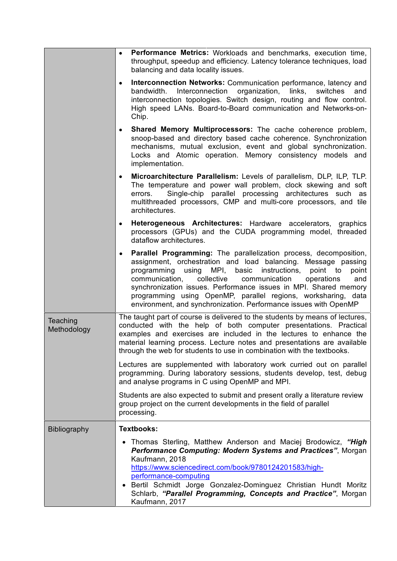| Performance Metrics: Workloads and benchmarks, execution time,<br>throughput, speedup and efficiency. Latency tolerance techniques, load<br>balancing and data locality issues.                                                                                                                                                                                                                                                                                                                      |
|------------------------------------------------------------------------------------------------------------------------------------------------------------------------------------------------------------------------------------------------------------------------------------------------------------------------------------------------------------------------------------------------------------------------------------------------------------------------------------------------------|
| Interconnection Networks: Communication performance, latency and<br>$\bullet$<br>bandwidth. Interconnection organization, links,<br>switches<br>and<br>interconnection topologies. Switch design, routing and flow control.<br>High speed LANs. Board-to-Board communication and Networks-on-<br>Chip.                                                                                                                                                                                               |
| Shared Memory Multiprocessors: The cache coherence problem,<br>snoop-based and directory based cache coherence. Synchronization<br>mechanisms, mutual exclusion, event and global synchronization.<br>Locks and Atomic operation. Memory consistency models and<br>implementation.                                                                                                                                                                                                                   |
| Microarchitecture Parallelism: Levels of parallelism, DLP, ILP, TLP.<br>$\bullet$<br>The temperature and power wall problem, clock skewing and soft<br>Single-chip parallel processing architectures such as<br>errors.<br>multithreaded processors, CMP and multi-core processors, and tile<br>architectures.                                                                                                                                                                                       |
| Heterogeneous Architectures: Hardware accelerators, graphics<br>$\bullet$<br>processors (GPUs) and the CUDA programming model, threaded<br>dataflow architectures.                                                                                                                                                                                                                                                                                                                                   |
| Parallel Programming: The parallelization process, decomposition,<br>$\bullet$<br>assignment, orchestration and load balancing. Message passing<br>using MPI, basic instructions,<br>point to<br>programming<br>point<br>collective<br>communication<br>communication,<br>operations<br>and<br>synchronization issues. Performance issues in MPI. Shared memory<br>programming using OpenMP, parallel regions, worksharing, data<br>environment, and synchronization. Performance issues with OpenMP |
| The taught part of course is delivered to the students by means of lectures,<br>conducted with the help of both computer presentations. Practical<br>examples and exercises are included in the lectures to enhance the<br>material learning process. Lecture notes and presentations are available<br>through the web for students to use in combination with the textbooks.                                                                                                                        |
| Lectures are supplemented with laboratory work curried out on parallel<br>programming. During laboratory sessions, students develop, test, debug<br>and analyse programs in C using OpenMP and MPI.                                                                                                                                                                                                                                                                                                  |
| Students are also expected to submit and present orally a literature review<br>group project on the current developments in the field of parallel<br>processing.                                                                                                                                                                                                                                                                                                                                     |
| <b>Textbooks:</b>                                                                                                                                                                                                                                                                                                                                                                                                                                                                                    |
| Thomas Sterling, Matthew Anderson and Maciej Brodowicz, "High<br>Performance Computing: Modern Systems and Practices", Morgan<br>Kaufmann, 2018<br>https://www.sciencedirect.com/book/9780124201583/high-<br>performance-computing<br>• Bertil Schmidt Jorge Gonzalez-Dominguez Christian Hundt Moritz<br>Schlarb, "Parallel Programming, Concepts and Practice", Morgan<br>Kaufmann, 2017                                                                                                           |
|                                                                                                                                                                                                                                                                                                                                                                                                                                                                                                      |